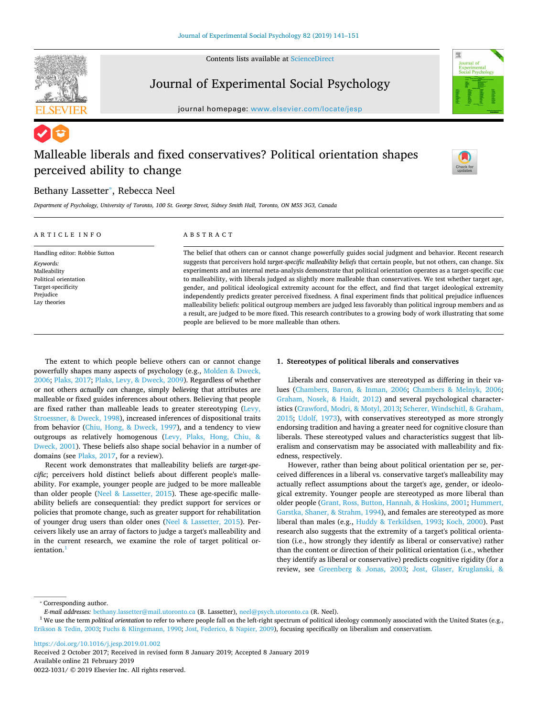



## Journal of Experimental Social Psychology

journal homepage: [www.elsevier.com/locate/jesp](https://www.elsevier.com/locate/jesp)

# Malleable liberals and fixed conservatives? Political orientation shapes perceived ability to change



## Bethany Lassetter<sup>\*</sup>, Rebecca Neel

*Department of Psychology, University of Toronto, 100 St. George Street, Sidney Smith Hall, Toronto, ON M5S 3G3, Canada*

| ARTICLE INFO                   | ABSTRACT                                                                                                                       |  |  |  |  |  |  |  |
|--------------------------------|--------------------------------------------------------------------------------------------------------------------------------|--|--|--|--|--|--|--|
| Handling editor: Robbie Sutton | The belief that others can or cannot change powerfully guides social judgment and behavior. Recent research                    |  |  |  |  |  |  |  |
| Keywords:                      | suggests that perceivers hold <i>target-specific malleability beliefs</i> that certain people, but not others, can change. Six |  |  |  |  |  |  |  |
| Malleability                   | experiments and an internal meta-analysis demonstrate that political orientation operates as a target-specific cue             |  |  |  |  |  |  |  |
| Political orientation          | to malleability, with liberals judged as slightly more malleable than conservatives. We test whether target age,               |  |  |  |  |  |  |  |
| Target-specificity             | gender, and political ideological extremity account for the effect, and find that target ideological extremity                 |  |  |  |  |  |  |  |
| Prejudice                      | independently predicts greater perceived fixedness. A final experiment finds that political prejudice influences               |  |  |  |  |  |  |  |
| Lay theories                   | malleability beliefs: political outgroup members are judged less favorably than political ingroup members and as               |  |  |  |  |  |  |  |
|                                | a result, are judged to be more fixed. This research contributes to a growing body of work illustrating that some              |  |  |  |  |  |  |  |
|                                | people are believed to be more malleable than others.                                                                          |  |  |  |  |  |  |  |

The extent to which people believe others can or cannot change powerfully shapes many aspects of psychology (e.g., [Molden & Dweck,](#page-9-0) [2006;](#page-9-0) [Plaks, 2017;](#page-10-0) [Plaks, Levy, & Dweck, 2009](#page-10-1)). Regardless of whether or not others *actually can* change, simply *believing* that attributes are malleable or fixed guides inferences about others. Believing that people are fixed rather than malleable leads to greater stereotyping ([Levy,](#page-9-1) [Stroessner, & Dweck, 1998](#page-9-1)), increased inferences of dispositional traits from behavior [\(Chiu, Hong, & Dweck, 1997\)](#page-9-2), and a tendency to view outgroups as relatively homogenous [\(Levy, Plaks, Hong, Chiu, &](#page-9-3) [Dweck, 2001](#page-9-3)). These beliefs also shape social behavior in a number of domains (see [Plaks, 2017,](#page-10-0) for a review).

Recent work demonstrates that malleability beliefs are *target-specific*; perceivers hold distinct beliefs about different people's malleability. For example, younger people are judged to be more malleable than older people ([Neel & Lassetter, 2015](#page-9-4)). These age-specific malleability beliefs are consequential: they predict support for services or policies that promote change, such as greater support for rehabilitation of younger drug users than older ones ([Neel & Lassetter, 2015\)](#page-9-4). Perceivers likely use an array of factors to judge a target's malleability and in the current research, we examine the role of target political orientation

## **1. Stereotypes of political liberals and conservatives**

Liberals and conservatives are stereotyped as differing in their values [\(Chambers, Baron, & Inman, 2006](#page-9-5); [Chambers & Melnyk, 2006](#page-9-6); [Graham, Nosek, & Haidt, 2012\)](#page-9-7) and several psychological characteristics [\(Crawford, Modri, & Motyl, 2013;](#page-9-8) [Scherer, Windschitl, & Graham,](#page-10-2) [2015;](#page-10-2) [Udolf, 1973](#page-10-3)), with conservatives stereotyped as more strongly endorsing tradition and having a greater need for cognitive closure than liberals. These stereotyped values and characteristics suggest that liberalism and conservatism may be associated with malleability and fixedness, respectively.

However, rather than being about political orientation per se, perceived differences in a liberal vs. conservative target's malleability may actually reflect assumptions about the target's age, gender, or ideological extremity. Younger people are stereotyped as more liberal than older people [\(Grant, Ross, Button, Hannah, & Hoskins, 2001](#page-9-9); [Hummert,](#page-9-10) [Garstka, Shaner, & Strahm, 1994](#page-9-10)), and females are stereotyped as more liberal than males (e.g., [Huddy & Terkildsen, 1993](#page-9-11); [Koch, 2000](#page-9-12)). Past research also suggests that the extremity of a target's political orientation (i.e., how strongly they identify as liberal or conservative) rather than the content or direction of their political orientation (i.e., whether they identify as liberal or conservative) predicts cognitive rigidity (for a review, see [Greenberg & Jonas, 2003](#page-9-13); [Jost, Glaser, Kruglanski, &](#page-9-14)

<span id="page-0-0"></span>⁎ Corresponding author.

<https://doi.org/10.1016/j.jesp.2019.01.002> Received 2 October 2017; Received in revised form 8 January 2019; Accepted 8 January 2019 Available online 21 February 2019

0022-1031/ © 2019 Elsevier Inc. All rights reserved.

*E-mail addresses:* [bethany.lassetter@mail.utoronto.ca](mailto:bethany.lassetter@mail.utoronto.ca) (B. Lassetter), [neel@psych.utoronto.ca](mailto:neel@psych.utoronto.ca) (R. Neel).

<span id="page-0-1"></span><sup>&</sup>lt;sup>1</sup> We use the term *political orientation* to refer to where people fall on the left-right spectrum of political ideology commonly associated with the United States (e.g., [Erikson & Tedin, 2003;](#page-9-15) [Fuchs & Klingemann, 1990](#page-9-16); [Jost, Federico, & Napier, 2009](#page-9-17)), focusing specifically on liberalism and conservatism.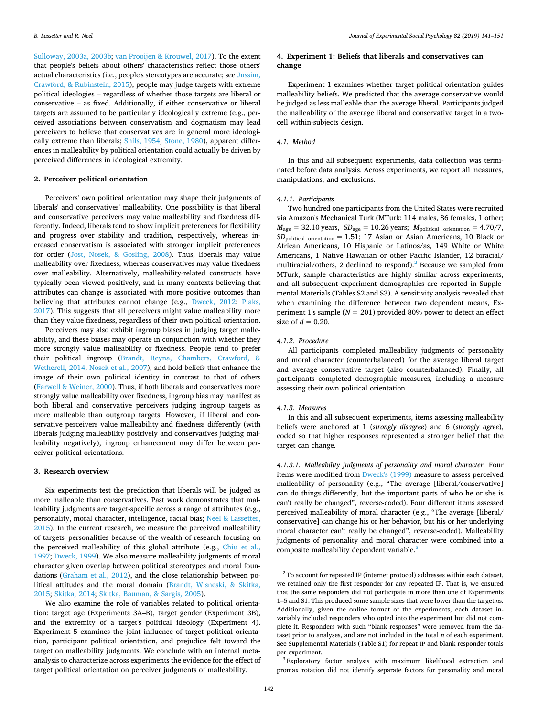[Sulloway, 2003a, 2003b](#page-9-14); [van Prooijen & Krouwel, 2017\)](#page-10-4). To the extent that people's beliefs about others' characteristics reflect those others' actual characteristics (i.e., people's stereotypes are accurate; see [Jussim,](#page-9-18) [Crawford, & Rubinstein, 2015](#page-9-18)), people may judge targets with extreme political ideologies – regardless of whether those targets are liberal or conservative – as fixed. Additionally, if either conservative or liberal targets are assumed to be particularly ideologically extreme (e.g., perceived associations between conservatism and dogmatism may lead perceivers to believe that conservatives are in general more ideologically extreme than liberals; [Shils, 1954](#page-10-5); [Stone, 1980\)](#page-10-6), apparent differences in malleability by political orientation could actually be driven by perceived differences in ideological extremity.

## **2. Perceiver political orientation**

Perceivers' own political orientation may shape their judgments of liberals' and conservatives' malleability. One possibility is that liberal and conservative perceivers may value malleability and fixedness differently. Indeed, liberals tend to show implicit preferences for flexibility and progress over stability and tradition, respectively, whereas increased conservatism is associated with stronger implicit preferences for order [\(Jost, Nosek, & Gosling, 2008](#page-9-19)). Thus, liberals may value malleability over fixedness, whereas conservatives may value fixedness over malleability. Alternatively, malleability-related constructs have typically been viewed positively, and in many contexts believing that attributes can change is associated with more positive outcomes than believing that attributes cannot change (e.g., [Dweck, 2012](#page-9-20); [Plaks,](#page-10-0) [2017\)](#page-10-0). This suggests that all perceivers might value malleability more than they value fixedness, regardless of their own political orientation.

Perceivers may also exhibit ingroup biases in judging target malleability, and these biases may operate in conjunction with whether they more strongly value malleability or fixedness. People tend to prefer their political ingroup ([Brandt, Reyna, Chambers, Crawford, &](#page-9-21) [Wetherell, 2014](#page-9-21); [Nosek et al., 2007](#page-9-22)), and hold beliefs that enhance the image of their own political identity in contrast to that of others ([Farwell & Weiner, 2000](#page-9-23)). Thus, if both liberals and conservatives more strongly value malleability over fixedness, ingroup bias may manifest as both liberal and conservative perceivers judging ingroup targets as more malleable than outgroup targets. However, if liberal and conservative perceivers value malleability and fixedness differently (with liberals judging malleability positively and conservatives judging malleability negatively), ingroup enhancement may differ between perceiver political orientations.

## **3. Research overview**

Six experiments test the prediction that liberals will be judged as more malleable than conservatives. Past work demonstrates that malleability judgments are target-specific across a range of attributes (e.g., personality, moral character, intelligence, racial bias; [Neel & Lassetter,](#page-9-4) [2015\)](#page-9-4). In the current research, we measure the perceived malleability of targets' personalities because of the wealth of research focusing on the perceived malleability of this global attribute (e.g., [Chiu et al.,](#page-9-2) [1997;](#page-9-2) [Dweck, 1999](#page-9-24)). We also measure malleability judgments of moral character given overlap between political stereotypes and moral foundations [\(Graham et al., 2012](#page-9-7)), and the close relationship between political attitudes and the moral domain [\(Brandt, Wisneski, & Skitka,](#page-9-25) [2015;](#page-9-25) [Skitka, 2014](#page-10-7); [Skitka, Bauman, & Sargis, 2005\)](#page-10-8).

We also examine the role of variables related to political orientation: target age (Experiments 3A–B), target gender (Experiment 3B), and the extremity of a target's political ideology (Experiment 4). Experiment 5 examines the joint influence of target political orientation, participant political orientation, and prejudice felt toward the target on malleability judgments. We conclude with an internal metaanalysis to characterize across experiments the evidence for the effect of target political orientation on perceiver judgments of malleability.

## **4. Experiment 1: Beliefs that liberals and conservatives can change**

Experiment 1 examines whether target political orientation guides malleability beliefs. We predicted that the average conservative would be judged as less malleable than the average liberal. Participants judged the malleability of the average liberal and conservative target in a twocell within-subjects design.

## *4.1. Method*

In this and all subsequent experiments, data collection was terminated before data analysis. Across experiments, we report all measures, manipulations, and exclusions.

## *4.1.1. Participants*

Two hundred one participants from the United States were recruited via Amazon's Mechanical Turk (MTurk; 114 males, 86 females, 1 other;  $M_{\text{age}} = 32.10 \text{ years}, \ SD_{\text{age}} = 10.26 \text{ years}; \ M_{\text{politional orientation}} = 4.70/7,$ *SD*political orientation = 1.51; 17 Asian or Asian Americans, 10 Black or African Americans, 10 Hispanic or Latinos/as, 149 White or White Americans, 1 Native Hawaiian or other Pacific Islander, 12 biracial/ multiracial/others, [2](#page-1-0) declined to respond).<sup>2</sup> Because we sampled from MTurk, sample characteristics are highly similar across experiments, and all subsequent experiment demographics are reported in Supplemental Materials (Tables S2 and S3). A sensitivity analysis revealed that when examining the difference between two dependent means, Experiment 1's sample  $(N = 201)$  provided 80% power to detect an effect size of  $d = 0.20$ .

## *4.1.2. Procedure*

All participants completed malleability judgments of personality and moral character (counterbalanced) for the average liberal target and average conservative target (also counterbalanced). Finally, all participants completed demographic measures, including a measure assessing their own political orientation.

#### *4.1.3. Measures*

In this and all subsequent experiments, items assessing malleability beliefs were anchored at 1 (*strongly disagree*) and 6 (*strongly agree*), coded so that higher responses represented a stronger belief that the target can change.

*4.1.3.1. Malleability judgments of personality and moral character*. Four items were modified from [Dweck's \(1999\)](#page-9-24) measure to assess perceived malleability of personality (e.g., "The average [liberal/conservative] can do things differently, but the important parts of who he or she is can't really be changed", reverse-coded). Four different items assessed perceived malleability of moral character (e.g., "The average [liberal/ conservative] can change his or her behavior, but his or her underlying moral character can't really be changed", reverse-coded). Malleability judgments of personality and moral character were combined into a composite malleability dependent variable.<sup>3</sup>

<span id="page-1-0"></span><sup>&</sup>lt;sup>2</sup> To account for repeated IP (internet protocol) addresses within each dataset, we retained only the first responder for any repeated IP. That is, we ensured that the same responders did not participate in more than one of Experiments 1–5 and S1. This produced some sample sizes that were lower than the target *n*s. Additionally, given the online format of the experiments, each dataset invariably included responders who opted into the experiment but did not complete it. Responders with such "blank responses" were removed from the dataset prior to analyses, and are not included in the total *n* of each experiment. See Supplemental Materials (Table S1) for repeat IP and blank responder totals per experiment.

<span id="page-1-1"></span><sup>&</sup>lt;sup>3</sup> Exploratory factor analysis with maximum likelihood extraction and promax rotation did not identify separate factors for personality and moral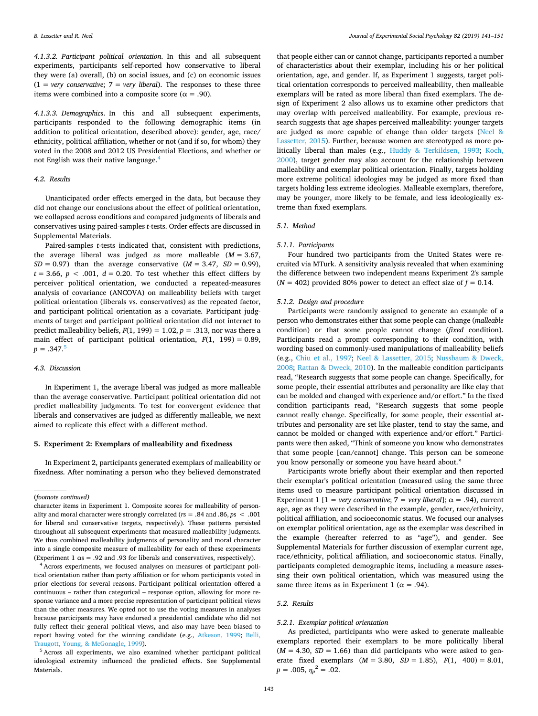*4.1.3.2. Participant political orientation*. In this and all subsequent experiments, participants self-reported how conservative to liberal they were (a) overall, (b) on social issues, and (c) on economic issues  $(1 = very\ conservative; 7 = very\ liberal)$ . The responses to these three items were combined into a composite score ( $α = .90$ ).

*4.1.3.3. Demographics*. In this and all subsequent experiments, participants responded to the following demographic items (in addition to political orientation, described above): gender, age, race/ ethnicity, political affiliation, whether or not (and if so, for whom) they voted in the 2008 and 2012 US Presidential Elections, and whether or not English was their native language[.4](#page-2-0)

## *4.2. Results*

Unanticipated order effects emerged in the data, but because they did not change our conclusions about the effect of political orientation, we collapsed across conditions and compared judgments of liberals and conservatives using paired-samples *t*-tests. Order effects are discussed in Supplemental Materials.

Paired-samples *t*-tests indicated that, consistent with predictions, the average liberal was judged as more malleable (*M* = 3.67,  $SD = 0.97$ ) than the average conservative  $(M = 3.47, SD = 0.99)$ ,  $t = 3.66$ ,  $p < .001$ ,  $d = 0.20$ . To test whether this effect differs by perceiver political orientation, we conducted a repeated-measures analysis of covariance (ANCOVA) on malleability beliefs with target political orientation (liberals vs. conservatives) as the repeated factor, and participant political orientation as a covariate. Participant judgments of target and participant political orientation did not interact to predict malleability beliefs,  $F(1, 199) = 1.02$ ,  $p = .313$ , nor was there a main effect of participant political orientation,  $F(1, 199) = 0.89$ ,  $p = .347$ .<sup>[5](#page-2-1)</sup>

## *4.3. Discussion*

In Experiment 1, the average liberal was judged as more malleable than the average conservative. Participant political orientation did not predict malleability judgments. To test for convergent evidence that liberals and conservatives are judged as differently malleable, we next aimed to replicate this effect with a different method.

## **5. Experiment 2: Exemplars of malleability and fixedness**

In Experiment 2, participants generated exemplars of malleability or fixedness. After nominating a person who they believed demonstrated

that people either can or cannot change, participants reported a number of characteristics about their exemplar, including his or her political orientation, age, and gender. If, as Experiment 1 suggests, target political orientation corresponds to perceived malleability, then malleable exemplars will be rated as more liberal than fixed exemplars. The design of Experiment 2 also allows us to examine other predictors that may overlap with perceived malleability. For example, previous research suggests that age shapes perceived malleability: younger targets are judged as more capable of change than older targets ([Neel &](#page-9-4) [Lassetter, 2015](#page-9-4)). Further, because women are stereotyped as more politically liberal than males (e.g., [Huddy & Terkildsen, 1993](#page-9-11); [Koch,](#page-9-12) [2000\)](#page-9-12), target gender may also account for the relationship between malleability and exemplar political orientation. Finally, targets holding more extreme political ideologies may be judged as more fixed than targets holding less extreme ideologies. Malleable exemplars, therefore, may be younger, more likely to be female, and less ideologically extreme than fixed exemplars.

#### *5.1. Method*

#### *5.1.1. Participants*

Four hundred two participants from the United States were recruited via MTurk. A sensitivity analysis revealed that when examining the difference between two independent means Experiment 2's sample  $(N = 402)$  provided 80% power to detect an effect size of  $f = 0.14$ .

#### *5.1.2. Design and procedure*

Participants were randomly assigned to generate an example of a person who demonstrates either that some people can change (*malleable* condition) or that some people cannot change (*fixed* condition). Participants read a prompt corresponding to their condition, with wording based on commonly-used manipulations of malleability beliefs (e.g., [Chiu et al., 1997;](#page-9-2) [Neel & Lassetter, 2015;](#page-9-4) [Nussbaum & Dweck,](#page-10-9) [2008;](#page-10-9) [Rattan & Dweck, 2010\)](#page-10-10). In the malleable condition participants read, "Research suggests that some people can change. Specifically, for some people, their essential attributes and personality are like clay that can be molded and changed with experience and/or effort." In the fixed condition participants read, "Research suggests that some people cannot really change. Specifically, for some people, their essential attributes and personality are set like plaster, tend to stay the same, and cannot be molded or changed with experience and/or effort." Participants were then asked, "Think of someone you know who demonstrates that some people [can/cannot] change. This person can be someone you know personally or someone you have heard about."

Participants wrote briefly about their exemplar and then reported their exemplar's political orientation (measured using the same three items used to measure participant political orientation discussed in Experiment 1 [1 = *very conservative*;  $7$  = *very liberal*];  $\alpha$  = .94), current age, age as they were described in the example, gender, race/ethnicity, political affiliation, and socioeconomic status. We focused our analyses on exemplar political orientation, age as the exemplar was described in the example (hereafter referred to as "age"), and gender. See Supplemental Materials for further discussion of exemplar current age, race/ethnicity, political affiliation, and socioeconomic status. Finally, participants completed demographic items, including a measure assessing their own political orientation, which was measured using the same three items as in Experiment 1 ( $\alpha$  = .94).

## *5.2. Results*

#### *5.2.1. Exemplar political orientation*

As predicted, participants who were asked to generate malleable exemplars reported their exemplars to be more politically liberal  $(M = 4.30, SD = 1.66)$  than did participants who were asked to generate fixed exemplars (*M* = 3.80, *SD* = 1.85), *F*(1, 400) = 8.01,  $p = .005, \eta_p^2 = .02.$ 

<sup>(</sup>*footnote continued)*

character items in Experiment 1. Composite scores for malleability of personality and moral character were strongly correlated (*r*s = .84 and .86, *p*s < .001 for liberal and conservative targets, respectively). These patterns persisted throughout all subsequent experiments that measured malleability judgments. We thus combined malleability judgments of personality and moral character into a single composite measure of malleability for each of these experiments (Experiment 1  $\alpha s = .92$  and .93 for liberals and conservatives, respectively).

<span id="page-2-0"></span><sup>4</sup> Across experiments, we focused analyses on measures of participant political orientation rather than party affiliation or for whom participants voted in prior elections for several reasons. Participant political orientation offered a continuous – rather than categorical – response option, allowing for more response variance and a more precise representation of participant political views than the other measures. We opted not to use the voting measures in analyses because participants may have endorsed a presidential candidate who did not fully reflect their general political views, and also may have been biased to report having voted for the winning candidate (e.g., [Atkeson, 1999;](#page-9-26) [Belli,](#page-9-27) [Traugott, Young, & McGonagle, 1999\)](#page-9-27).

<span id="page-2-1"></span><sup>5</sup> Across all experiments, we also examined whether participant political ideological extremity influenced the predicted effects. See Supplemental Materials.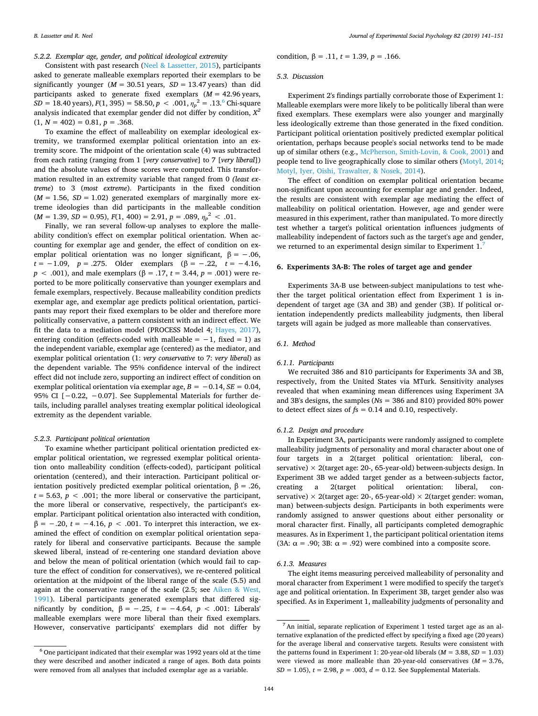## *5.2.2. Exemplar age, gender, and political ideological extremity*

Consistent with past research [\(Neel & Lassetter, 2015](#page-9-4)), participants asked to generate malleable exemplars reported their exemplars to be significantly younger  $(M = 30.51 \text{ years}, SD = 13.47 \text{ years})$  than did participants asked to generate fixed exemplars (*M* = 42.96 years, *SD* = 18.40 years), *F*(1, 395) = 58.50, *p* < .001,  $\eta_p^2$  = .13.<sup>[6](#page-3-0)</sup> Chi-square analysis indicated that exemplar gender did not differ by condition, *X<sup>2</sup>*  $(1, N = 402) = 0.81, p = .368.$ 

To examine the effect of malleability on exemplar ideological extremity, we transformed exemplar political orientation into an extremity score. The midpoint of the orientation scale (4) was subtracted from each rating (ranging from 1 [*very conservative*] to 7 [*very liberal*]) and the absolute values of those scores were computed. This transformation resulted in an extremity variable that ranged from 0 *(least extreme*) to 3 (*most extreme*). Participants in the fixed condition  $(M = 1.56, SD = 1.02)$  generated exemplars of marginally more extreme ideologies than did participants in the malleable condition  $(M = 1.39, SD = 0.95), F(1, 400) = 2.91, p = .089, \eta_p^2 < .01.$ 

Finally, we ran several follow-up analyses to explore the malleability condition's effect on exemplar political orientation. When accounting for exemplar age and gender, the effect of condition on exemplar political orientation was no longer significant,  $\beta = -.06$ , *t* = −1.09, *p* = .275. Older exemplars (β = −.22, *t* = −4.16, *p* < .001), and male exemplars (β = .17, *t* = 3.44, *p* = .001) were reported to be more politically conservative than younger exemplars and female exemplars, respectively. Because malleability condition predicts exemplar age, and exemplar age predicts political orientation, participants may report their fixed exemplars to be older and therefore more politically conservative, a pattern consistent with an indirect effect. We fit the data to a mediation model (PROCESS Model 4; [Hayes, 2017](#page-9-28)), entering condition (effects-coded with malleable =  $-1$ , fixed = 1) as the independent variable, exemplar age (centered) as the mediator, and exemplar political orientation (1: *very conservative* to 7: *very liberal*) as the dependent variable. The 95% confidence interval of the indirect effect did not include zero, supporting an indirect effect of condition on exemplar political orientation via exemplar age,  $B = -0.14$ ,  $SE = 0.04$ , 95% CI [−0.22, −0.07]. See Supplemental Materials for further details, including parallel analyses treating exemplar political ideological extremity as the dependent variable.

## *5.2.3. Participant political orientation*

To examine whether participant political orientation predicted exemplar political orientation, we regressed exemplar political orientation onto malleability condition (effects-coded), participant political orientation (centered), and their interaction. Participant political orientation positively predicted exemplar political orientation, β = .26,  $t = 5.63$ ,  $p < .001$ ; the more liberal or conservative the participant, the more liberal or conservative, respectively, the participant's exemplar. Participant political orientation also interacted with condition,  $β = -.20, t = -4.16, p < .001$ . To interpret this interaction, we examined the effect of condition on exemplar political orientation separately for liberal and conservative participants. Because the sample skewed liberal, instead of re-centering one standard deviation above and below the mean of political orientation (which would fail to capture the effect of condition for conservatives), we re-centered political orientation at the midpoint of the liberal range of the scale (5.5) and again at the conservative range of the scale (2.5; see [Aiken & West,](#page-9-29) [1991\)](#page-9-29). Liberal participants generated exemplars that differed significantly by condition,  $β = -.25, t = -4.64, p < .001$ : Liberals' malleable exemplars were more liberal than their fixed exemplars. However, conservative participants' exemplars did not differ by

condition,  $\beta = .11$ ,  $t = 1.39$ ,  $p = .166$ .

## *5.3. Discussion*

Experiment 2's findings partially corroborate those of Experiment 1: Malleable exemplars were more likely to be politically liberal than were fixed exemplars. These exemplars were also younger and marginally less ideologically extreme than those generated in the fixed condition. Participant political orientation positively predicted exemplar political orientation, perhaps because people's social networks tend to be made up of similar others (e.g., [McPherson, Smith-Lovin, & Cook, 2001](#page-9-30)) and people tend to live geographically close to similar others [\(Motyl, 2014](#page-9-31); [Motyl, Iyer, Oishi, Trawalter, & Nosek, 2014\)](#page-9-32).

The effect of condition on exemplar political orientation became non-significant upon accounting for exemplar age and gender. Indeed, the results are consistent with exemplar age mediating the effect of malleability on political orientation. However, age and gender were measured in this experiment, rather than manipulated. To more directly test whether a target's political orientation influences judgments of malleability independent of factors such as the target's age and gender, we returned to an experimental design similar to Experiment 1.

#### **6. Experiments 3A-B: The roles of target age and gender**

Experiments 3A-B use between-subject manipulations to test whether the target political orientation effect from Experiment 1 is independent of target age (3A and 3B) and gender (3B). If political orientation independently predicts malleability judgments, then liberal targets will again be judged as more malleable than conservatives.

#### *6.1. Method*

#### *6.1.1. Participants*

We recruited 386 and 810 participants for Experiments 3A and 3B, respectively, from the United States via MTurk. Sensitivity analyses revealed that when examining mean differences using Experiment 3A and 3B's designs, the samples (*N*s = 386 and 810) provided 80% power to detect effect sizes of *f*s = 0.14 and 0.10, respectively.

## *6.1.2. Design and procedure*

In Experiment 3A, participants were randomly assigned to complete malleability judgments of personality and moral character about one of four targets in a 2(target political orientation: liberal, conservative)  $\times$  2(target age: 20-, 65-year-old) between-subjects design. In Experiment 3B we added target gender as a between-subjects factor, creating a 2(target political orientation: liberal, conservative)  $\times$  2(target age: 20-, 65-year-old)  $\times$  2(target gender: woman, man) between-subjects design. Participants in both experiments were randomly assigned to answer questions about either personality or moral character first. Finally, all participants completed demographic measures. As in Experiment 1, the participant political orientation items (3A:  $\alpha$  = .90; 3B:  $\alpha$  = .92) were combined into a composite score.

## *6.1.3. Measures*

The eight items measuring perceived malleability of personality and moral character from Experiment 1 were modified to specify the target's age and political orientation. In Experiment 3B, target gender also was specified. As in Experiment 1, malleability judgments of personality and

<span id="page-3-0"></span> $^6$  One participant indicated that their exemplar was 1992 years old at the time they were described and another indicated a range of ages. Both data points were removed from all analyses that included exemplar age as a variable.

<span id="page-3-1"></span> $<sup>7</sup>$  An initial, separate replication of Experiment 1 tested target age as an al-</sup> ternative explanation of the predicted effect by specifying a fixed age (20 years) for the average liberal and conservative targets. Results were consistent with the patterns found in Experiment 1: 20-year-old liberals (*M* = 3.88, *SD* = 1.03) were viewed as more malleable than 20-year-old conservatives (*M* = 3.76, *SD* = 1.05), *t* = 2.98, *p* = .003, *d* = 0.12. See Supplemental Materials.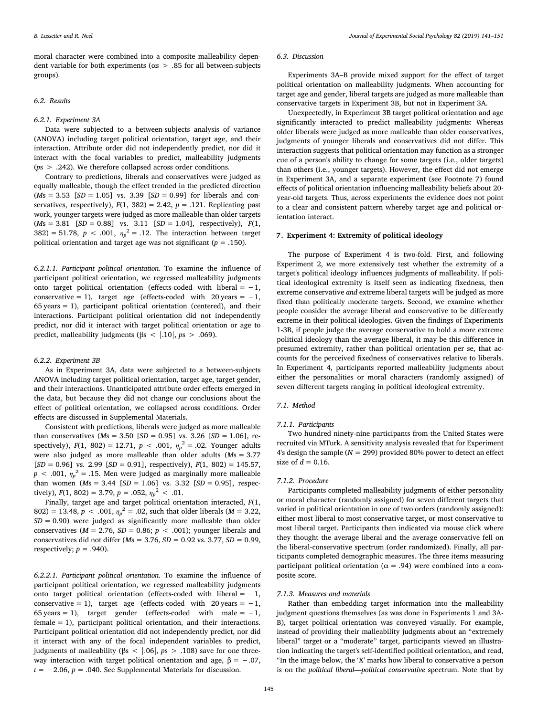moral character were combined into a composite malleability dependent variable for both experiments (αs > .85 for all between-subjects groups).

## *6.2. Results*

## *6.2.1. Experiment 3A*

Data were subjected to a between-subjects analysis of variance (ANOVA) including target political orientation, target age, and their interaction. Attribute order did not independently predict, nor did it interact with the focal variables to predict, malleability judgments (*p*s > .242). We therefore collapsed across order conditions.

Contrary to predictions, liberals and conservatives were judged as equally malleable, though the effect trended in the predicted direction  $(Ms = 3.53$   $[SD = 1.05]$  vs. 3.39  $[SD = 0.99]$  for liberals and conservatives, respectively),  $F(1, 382) = 2.42$ ,  $p = .121$ . Replicating past work, younger targets were judged as more malleable than older targets (*M*s = 3.81 [*SD* = 0.88] vs. 3.11 [*SD* = 1.04], respectively), *F*(1, 382) = 51.78,  $p < .001$ ,  $\eta_p^2 = .12$ . The interaction between target political orientation and target age was not significant (*p* = .150).

*6.2.1.1. Participant political orientation*. To examine the influence of participant political orientation, we regressed malleability judgments onto target political orientation (effects-coded with liberal =  $-1$ , conservative = 1), target age (effects-coded with  $20 \text{ years} = -1$ , 65 years = 1), participant political orientation (centered), and their interactions. Participant political orientation did not independently predict, nor did it interact with target political orientation or age to predict, malleability judgments (βs < |.10|, *p*s > .069).

## *6.2.2. Experiment 3B*

As in Experiment 3A, data were subjected to a between-subjects ANOVA including target political orientation, target age, target gender, and their interactions. Unanticipated attribute order effects emerged in the data, but because they did not change our conclusions about the effect of political orientation, we collapsed across conditions. Order effects are discussed in Supplemental Materials.

Consistent with predictions, liberals were judged as more malleable than conservatives (*M*s = 3.50 [*SD* = 0.95] vs. 3.26 [*SD* = 1.06], respectively),  $F(1, 802) = 12.71$ ,  $p < .001$ ,  $\eta_p^2 = .02$ . Younger adults were also judged as more malleable than older adults (*M*s = 3.77 [*SD* = 0.96] vs. 2.99 [*SD* = 0.91], respectively), *F*(1, 802) = 145.57,  $p < .001$ ,  $\eta_p^2 = .15$ . Men were judged as marginally more malleable than women (*M*s = 3.44 [*SD* = 1.06] vs. 3.32 [*SD* = 0.95], respectively),  $F(1, 802) = 3.79$ ,  $p = .052$ ,  $\eta_p^2 < .01$ .

Finally, target age and target political orientation interacted, *F*(1,  $802$ ) = 13.48, *p* < .001,  $\eta_p^2$  = .02, such that older liberals (*M* = 3.22, *SD* = 0.90) were judged as significantly more malleable than older conservatives ( $M = 2.76$ ,  $SD = 0.86$ ;  $p < .001$ ); younger liberals and conservatives did not differ (*M*s = 3.76, *SD* = 0.92 vs. 3.77, *SD* = 0.99, respectively;  $p = .940$ ).

*6.2.2.1. Participant political orientation*. To examine the influence of participant political orientation, we regressed malleability judgments onto target political orientation (effects-coded with liberal =  $-1$ , conservative = 1), target age (effects-coded with  $20 \text{ years} = -1$ , 65 years = 1), target gender (effects-coded with male =  $-1$ , female = 1), participant political orientation, and their interactions. Participant political orientation did not independently predict, nor did it interact with any of the focal independent variables to predict, judgments of malleability (βs < |.06|, *p*s > .108) save for one threeway interaction with target political orientation and age,  $\beta = -.07$ ,  $t = -2.06$ ,  $p = .040$ . See Supplemental Materials for discussion.

## *6.3. Discussion*

Experiments 3A–B provide mixed support for the effect of target political orientation on malleability judgments. When accounting for target age and gender, liberal targets are judged as more malleable than conservative targets in Experiment 3B, but not in Experiment 3A.

Unexpectedly, in Experiment 3B target political orientation and age significantly interacted to predict malleability judgments: Whereas older liberals were judged as more malleable than older conservatives, judgments of younger liberals and conservatives did not differ. This interaction suggests that political orientation may function as a stronger cue of a person's ability to change for some targets (i.e., older targets) than others (i.e., younger targets). However, the effect did not emerge in Experiment 3A, and a separate experiment (see Footnote 7) found effects of political orientation influencing malleability beliefs about 20 year-old targets. Thus, across experiments the evidence does not point to a clear and consistent pattern whereby target age and political orientation interact.

#### **7. Experiment 4: Extremity of political ideology**

The purpose of Experiment 4 is two-fold. First, and following Experiment 2, we more extensively test whether the extremity of a target's political ideology influences judgments of malleability. If political ideological extremity is itself seen as indicating fixedness, then extreme conservative *and* extreme liberal targets will be judged as more fixed than politically moderate targets. Second, we examine whether people consider the average liberal and conservative to be differently extreme in their political ideologies. Given the findings of Experiments 1-3B, if people judge the average conservative to hold a more extreme political ideology than the average liberal, it may be this difference in presumed extremity, rather than political orientation per se, that accounts for the perceived fixedness of conservatives relative to liberals. In Experiment 4, participants reported malleability judgments about either the personalities or moral characters (randomly assigned) of seven different targets ranging in political ideological extremity.

## *7.1. Method*

#### *7.1.1. Participants*

Two hundred ninety-nine participants from the United States were recruited via MTurk. A sensitivity analysis revealed that for Experiment 4's design the sample ( $N = 299$ ) provided 80% power to detect an effect size of  $d = 0.16$ .

#### *7.1.2. Procedure*

Participants completed malleability judgments of either personality or moral character (randomly assigned) for seven different targets that varied in political orientation in one of two orders (randomly assigned): either most liberal to most conservative target, or most conservative to most liberal target. Participants then indicated via mouse click where they thought the average liberal and the average conservative fell on the liberal-conservative spectrum (order randomized). Finally, all participants completed demographic measures. The three items measuring participant political orientation ( $\alpha$  = .94) were combined into a composite score.

#### *7.1.3. Measures and materials*

Rather than embedding target information into the malleability judgment questions themselves (as was done in Experiments 1 and 3A-B), target political orientation was conveyed visually. For example, instead of providing their malleability judgments about an "extremely liberal" target or a "moderate" target, participants viewed an illustration indicating the target's self-identified political orientation, and read, "In the image below, the 'X' marks how liberal to conservative a person is on the *political liberal—political conservative* spectrum. Note that by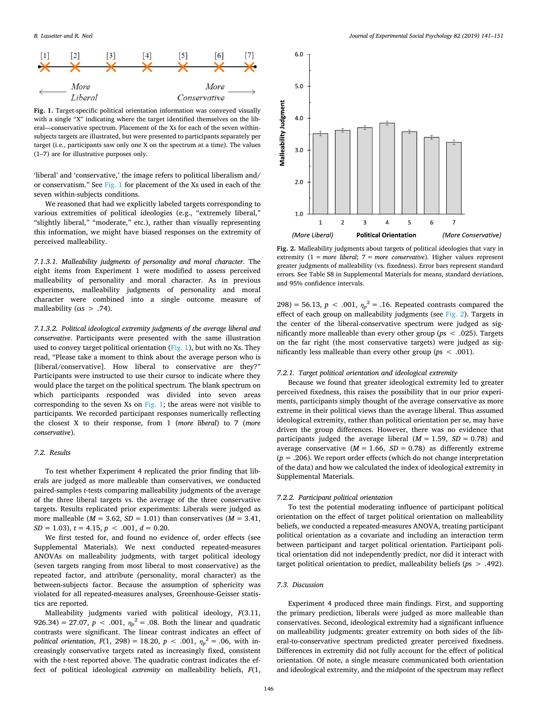<span id="page-5-0"></span>

**Fig. 1.** Target-specific political orientation information was conveyed visually with a single "X" indicating where the target identified themselves on the liberal—conservative spectrum. Placement of the Xs for each of the seven withinsubjects targets are illustrated, but were presented to participants separately per target (i.e., participants saw only one X on the spectrum at a time). The values (1–7) are for illustrative purposes only.

'liberal' and 'conservative,' the image refers to political liberalism and/ or conservatism." See [Fig. 1](#page-5-0) for placement of the Xs used in each of the seven within-subjects conditions.

We reasoned that had we explicitly labeled targets corresponding to various extremities of political ideologies (e.g., "extremely liberal," "slightly liberal," "moderate," etc.), rather than visually representing this information, we might have biased responses on the extremity of perceived malleability.

*7.1.3.1. Malleability judgments of personality and moral character*. The eight items from Experiment 1 were modified to assess perceived malleability of personality and moral character. As in previous experiments, malleability judgments of personality and moral character were combined into a single outcome measure of malleability ( $\alpha s > .74$ ).

*7.1.3.2. Political ideological extremity judgments of the average liberal and conservative*. Participants were presented with the same illustration used to convey target political orientation [\(Fig. 1\)](#page-5-0), but with no Xs. They read, "Please take a moment to think about the average person who is [liberal/conservative]. How liberal to conservative are they?" Participants were instructed to use their cursor to indicate where they would place the target on the political spectrum. The blank spectrum on which participants responded was divided into seven areas corresponding to the seven Xs on [Fig. 1;](#page-5-0) the areas were not visible to participants. We recorded participant responses numerically reflecting the closest X to their response, from 1 (*more liberal*) to 7 (*more conservative*).

#### *7.2. Results*

To test whether Experiment 4 replicated the prior finding that liberals are judged as more malleable than conservatives, we conducted paired-samples *t*-tests comparing malleability judgments of the average of the three liberal targets vs. the average of the three conservative targets. Results replicated prior experiments: Liberals were judged as more malleable ( $M = 3.62$ ,  $SD = 1.01$ ) than conservatives ( $M = 3.41$ ,  $SD = 1.03$ ,  $t = 4.15$ ,  $p < .001$ ,  $d = 0.20$ .

We first tested for, and found no evidence of, order effects (see Supplemental Materials). We next conducted repeated-measures ANOVAs on malleability judgments, with target political ideology (seven targets ranging from most liberal to most conservative) as the repeated factor, and attribute (personality, moral character) as the between-subjects factor. Because the assumption of sphericity was violated for all repeated-measures analyses, Greenhouse-Geisser statistics are reported.

Malleability judgments varied with political ideology, *F*(3.11, 926.34) = 27.07,  $p < .001$ ,  $\eta_p^2 = .08$ . Both the linear and quadratic contrasts were significant. The linear contrast indicates an effect of *political orientation, F*(1, 298) = 18.20,  $p < .001$ ,  $\eta_p^2 = .06$ , with increasingly conservative targets rated as increasingly fixed, consistent with the *t*-test reported above. The quadratic contrast indicates the effect of political ideological *extremity* on malleability beliefs, *F*(1,

<span id="page-5-1"></span>

**Fig. 2.** Malleability judgments about targets of political ideologies that vary in extremity (1 = *more liberal*; 7 = *more conservative*). Higher values represent greater judgments of malleability (vs. fixedness). Error bars represent standard errors. See Table S8 in Supplemental Materials for means, standard deviations, and 95% confidence intervals.

298) = 56.13,  $p < .001$ ,  $\eta_p^2 = .16$ . Repeated contrasts compared the effect of each group on malleability judgments (see [Fig. 2](#page-5-1)). Targets in the center of the liberal-conservative spectrum were judged as significantly more malleable than every other group (*p*s < .025). Targets on the far right (the most conservative targets) were judged as significantly less malleable than every other group (*p*s < .001).

#### *7.2.1. Target political orientation and ideological extremity*

Because we found that greater ideological extremity led to greater perceived fixedness, this raises the possibility that in our prior experiments, participants simply thought of the average conservative as more extreme in their political views than the average liberal. Thus assumed ideological extremity, rather than political orientation per se, may have driven the group differences. However, there was no evidence that participants judged the average liberal  $(M = 1.59, SD = 0.78)$  and average conservative  $(M = 1.66, SD = 0.78)$  as differently extreme (*p* = .206). We report order effects (which do not change interpretation of the data) and how we calculated the index of ideological extremity in Supplemental Materials.

## *7.2.2. Participant political orientation*

To test the potential moderating influence of participant political orientation on the effect of target political orientation on malleability beliefs, we conducted a repeated-measures ANOVA, treating participant political orientation as a covariate and including an interaction term between participant and target political orientation. Participant political orientation did not independently predict, nor did it interact with target political orientation to predict, malleability beliefs (*p*s > .492).

## *7.3. Discussion*

Experiment 4 produced three main findings. First, and supporting the primary prediction, liberals were judged as more malleable than conservatives. Second, ideological extremity had a significant influence on malleability judgments: greater extremity on both sides of the liberal-to-conservative spectrum predicted greater perceived fixedness. Differences in extremity did not fully account for the effect of political orientation. Of note, a single measure communicated both orientation and ideological extremity, and the midpoint of the spectrum may reflect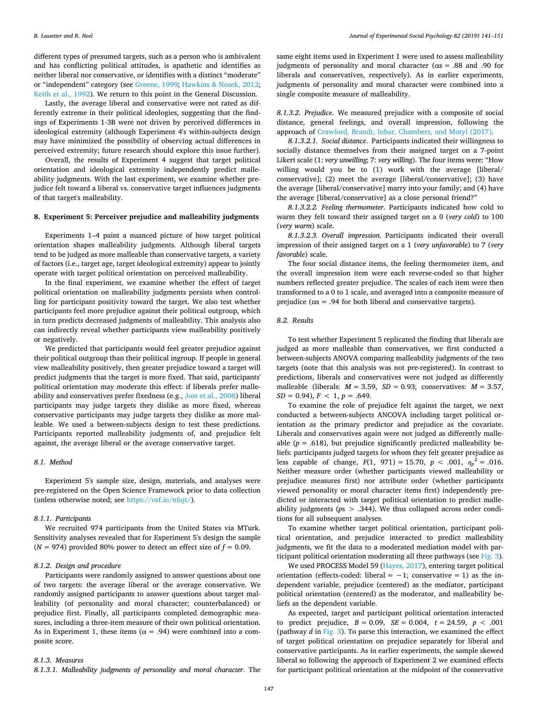different types of presumed targets, such as a person who is ambivalent and has conflicting political attitudes, is apathetic and identifies as neither liberal nor conservative, or identifies with a distinct "moderate" or "independent" category (see [Greene, 1999](#page-9-33); [Hawkins & Nosek, 2012](#page-9-34); [Keith et al., 1992\)](#page-9-35). We return to this point in the General Discussion.

Lastly, the average liberal and conservative were not rated as differently extreme in their political ideologies, suggesting that the findings of Experiments 1-3B were not driven by perceived differences in ideological extremity (although Experiment 4's within-subjects design may have minimized the possibility of observing actual differences in perceived extremity; future research should explore this issue further).

Overall, the results of Experiment 4 suggest that target political orientation and ideological extremity independently predict malleability judgments. With the last experiment, we examine whether prejudice felt toward a liberal vs. conservative target influences judgments of that target's malleability.

## **8. Experiment 5: Perceiver prejudice and malleability judgments**

Experiments 1–4 paint a nuanced picture of how target political orientation shapes malleability judgments. Although liberal targets tend to be judged as more malleable than conservative targets, a variety of factors (i.e., target age, target ideological extremity) appear to jointly operate with target political orientation on perceived malleability.

In the final experiment, we examine whether the effect of target political orientation on malleability judgments persists when controlling for participant positivity toward the target. We also test whether participants feel more prejudice against their political outgroup, which in turn predicts decreased judgments of malleability. This analysis also can indirectly reveal whether participants view malleability positively or negatively.

We predicted that participants would feel greater prejudice against their political outgroup than their political ingroup. If people in general view malleability positively, then greater prejudice toward a target will predict judgments that the target is more fixed. That said, participants' political orientation may moderate this effect: if liberals prefer malleability and conservatives prefer fixedness (e.g., [Jost et al., 2008\)](#page-9-19) liberal participants may judge targets they dislike as more fixed, whereas conservative participants may judge targets they dislike as more malleable. We used a between-subjects design to test these predictions. Participants reported malleability judgments of, and prejudice felt against, the average liberal or the average conservative target.

## *8.1. Method*

Experiment 5's sample size, design, materials, and analyses were pre-registered on the Open Science Framework prior to data collection (unless otherwise noted; see <https://osf.io/nfajt/>).

#### *8.1.1. Participants*

We recruited 974 participants from the United States via MTurk. Sensitivity analyses revealed that for Experiment 5's design the sample  $(N = 974)$  provided 80% power to detect an effect size of  $f = 0.09$ .

## *8.1.2. Design and procedure*

Participants were randomly assigned to answer questions about one of two targets: the average liberal or the average conservative. We randomly assigned participants to answer questions about target malleability (of personality and moral character; counterbalanced) or prejudice first. Finally, all participants completed demographic measures, including a three-item measure of their own political orientation. As in Experiment 1, these items ( $\alpha$  = .94) were combined into a composite score.

#### *8.1.3. Measures*

*8.1.3.1. Malleability judgments of personality and moral character*. The

same eight items used in Experiment 1 were used to assess malleability judgments of personality and moral character ( $\alpha$ s = .88 and .90 for liberals and conservatives, respectively). As in earlier experiments, judgments of personality and moral character were combined into a single composite measure of malleability.

*8.1.3.2. Prejudice*. We measured prejudice with a composite of social distance, general feelings, and overall impression, following the approach of [Crawford, Brandt, Inbar, Chambers, and Motyl \(2017\).](#page-9-36)

*8.1.3.2.1. Social distance*. Participants indicated their willingness to socially distance themselves from their assigned target on a 7-point Likert scale (1: *very unwilling*; 7: *very willing*). The four items were: "How willing would you be to  $(1)$  work with the average  $[{\rm liberal}/]$ conservative]; (2) meet the average [liberal/conservative]; (3) have the average [liberal/conservative] marry into your family; and (4) have the average [liberal/conservative] as a close personal friend?"

*8.1.3.2.2. Feeling thermometer*. Participants indicated how cold to warm they felt toward their assigned target on a 0 (*very cold*) to 100 (*very warm*) scale.

*8.1.3.2.3. Overall impression*. Participants indicated their overall impression of their assigned target on a 1 (*very unfavorable*) to 7 (*very favorable*) scale.

The four social distance items, the feeling thermometer item, and the overall impression item were each reverse-coded so that higher numbers reflected greater prejudice. The scales of each item were then transformed to a 0 to 1 scale, and averaged into a composite measure of prejudice ( $\alpha$ s = .94 for both liberal and conservative targets).

## *8.2. Results*

To test whether Experiment 5 replicated the finding that liberals are judged as more malleable than conservatives, we first conducted a between-subjects ANOVA comparing malleability judgments of the two targets (note that this analysis was not pre-registered). In contrast to predictions, liberals and conservatives were not judged as differently malleable (liberals:  $M = 3.59$ ,  $SD = 0.93$ ; conservatives:  $M = 3.57$ ,  $SD = 0.94$ ,  $F < 1$ ,  $p = .649$ .

To examine the role of prejudice felt against the target, we next conducted a between-subjects ANCOVA including target political orientation as the primary predictor and prejudice as the covariate. Liberals and conservatives again were not judged as differently malleable  $(p = .618)$ , but prejudice significantly predicted malleability beliefs: participants judged targets for whom they felt greater prejudice as less capable of change,  $F(1, 971) = 15.70, p < .001, \eta_p^2 = .016$ . Neither measure order (whether participants viewed malleability or prejudice measures first) nor attribute order (whether participants viewed personality or moral character items first) independently predicted or interacted with target political orientation to predict malleability judgments (*p*s > .344). We thus collapsed across order conditions for all subsequent analyses.

To examine whether target political orientation, participant political orientation, and prejudice interacted to predict malleability judgments, we fit the data to a moderated mediation model with participant political orientation moderating all three pathways (see [Fig. 3](#page-7-0)).

We used PROCESS Model 59 [\(Hayes, 2017\)](#page-9-28), entering target political orientation (effects-coded: liberal =  $-1$ ; conservative = 1) as the independent variable, prejudice (centered) as the mediator, participant political orientation (centered) as the moderator, and malleability beliefs as the dependent variable.

As expected, target and participant political orientation interacted to predict prejudice,  $B = 0.09$ ,  $SE = 0.004$ ,  $t = 24.59$ ,  $p < .001$ (pathway *d* in [Fig. 3\)](#page-7-0). To parse this interaction, we examined the effect of target political orientation on prejudice separately for liberal and conservative participants. As in earlier experiments, the sample skewed liberal so following the approach of Experiment 2 we examined effects for participant political orientation at the midpoint of the conservative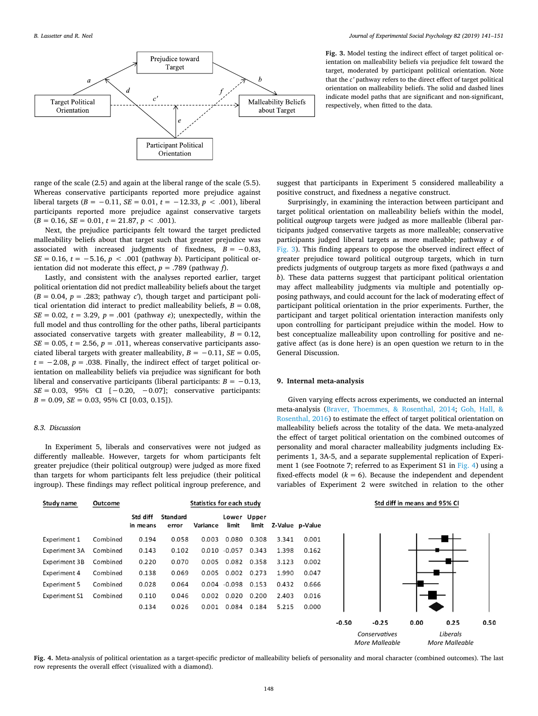<span id="page-7-0"></span>

**Fig. 3.** Model testing the indirect effect of target political orientation on malleability beliefs via prejudice felt toward the target, moderated by participant political orientation. Note that the *c'* pathway refers to the direct effect of target political orientation on malleability beliefs. The solid and dashed lines indicate model paths that are significant and non-significant, respectively, when fitted to the data.

range of the scale (2.5) and again at the liberal range of the scale (5.5). Whereas conservative participants reported more prejudice against liberal targets  $(B = -0.11, SE = 0.01, t = -12.33, p < .001)$ , liberal participants reported more prejudice against conservative targets  $(B = 0.16, SE = 0.01, t = 21.87, p < .001).$ 

Next, the prejudice participants felt toward the target predicted malleability beliefs about that target such that greater prejudice was associated with increased judgments of fixedness,  $B = -0.83$ , *SE* = 0.16, *t* = −5.16, *p* < .001 (pathway *b*). Participant political orientation did not moderate this effect, *p* = .789 (pathway *f*).

Lastly, and consistent with the analyses reported earlier, target political orientation did not predict malleability beliefs about the target  $(B = 0.04, p = .283$ ; pathway *c*<sup>'</sup>), though target and participant political orientation did interact to predict malleability beliefs,  $B = 0.08$ ,  $SE = 0.02$ ,  $t = 3.29$ ,  $p = .001$  (pathway *e*); unexpectedly, within the full model and thus controlling for the other paths, liberal participants associated conservative targets with greater malleability,  $B = 0.12$ ,  $SE = 0.05$ ,  $t = 2.56$ ,  $p = .011$ , whereas conservative participants associated liberal targets with greater malleability,  $B = -0.11$ ,  $SE = 0.05$ ,  $t = -2.08$ ,  $p = .038$ . Finally, the indirect effect of target political orientation on malleability beliefs via prejudice was significant for both liberal and conservative participants (liberal participants:  $B = -0.13$ , *SE* = 0.03, 95% CI [-0.20, -0.07]; conservative participants:  $B = 0.09$ ,  $SE = 0.03$ , 95% CI [0.03, 0.15]).

## *8.3. Discussion*

In Experiment 5, liberals and conservatives were not judged as differently malleable. However, targets for whom participants felt greater prejudice (their political outgroup) were judged as more fixed than targets for whom participants felt less prejudice (their political ingroup). These findings may reflect political ingroup preference, and

suggest that participants in Experiment 5 considered malleability a positive construct, and fixedness a negative construct.

Surprisingly, in examining the interaction between participant and target political orientation on malleability beliefs within the model, political *outgroup* targets were judged as more malleable (liberal participants judged conservative targets as more malleable; conservative participants judged liberal targets as more malleable; pathway *e* of [Fig. 3](#page-7-0)). This finding appears to oppose the observed indirect effect of greater prejudice toward political outgroup targets, which in turn predicts judgments of outgroup targets as more fixed (pathways *a* and *b*). These data patterns suggest that participant political orientation may affect malleability judgments via multiple and potentially opposing pathways, and could account for the lack of moderating effect of participant political orientation in the prior experiments. Further, the participant and target political orientation interaction manifests only upon controlling for participant prejudice within the model. How to best conceptualize malleability upon controlling for positive and negative affect (as is done here) is an open question we return to in the General Discussion.

#### **9. Internal meta-analysis**

Given varying effects across experiments, we conducted an internal meta-analysis ([Braver, Thoemmes, & Rosenthal, 2014](#page-9-37); [Goh, Hall, &](#page-9-38) [Rosenthal, 2016\)](#page-9-38) to estimate the effect of target political orientation on malleability beliefs across the totality of the data. We meta-analyzed the effect of target political orientation on the combined outcomes of personality and moral character malleability judgments including Experiments 1, 3A-5, and a separate supplemental replication of Experiment 1 (see Footnote 7; referred to as Experiment S1 in [Fig. 4\)](#page-7-1) using a fixed-effects model  $(k = 6)$ . Because the independent and dependent variables of Experiment 2 were switched in relation to the other

*More Malleable*

*More Malleable*

<span id="page-7-1"></span>

| Study name           | Outcome  |                      | Statistics for each study |          |                       |                      |       |                 |         | Std diff in means and 95% CI |      |          |      |
|----------------------|----------|----------------------|---------------------------|----------|-----------------------|----------------------|-------|-----------------|---------|------------------------------|------|----------|------|
|                      |          | Std diff<br>in means | <b>Standard</b><br>error  | Variance | limit                 | Lower Upper<br>limit |       | Z-Value p-Value |         |                              |      |          |      |
| Experiment 1         | Combined | 0.194                | 0.058                     | 0.003    | 0.080                 | 0.308                | 3.341 | 0.001           |         |                              |      |          |      |
| Experiment 3A        | Combined | 0.143                | 0.102                     |          | $0.010 - 0.057$       | 0.343                | 1.398 | 0.162           |         |                              |      |          |      |
| Experiment 3B        | Combined | 0.220                | 0.070                     | 0.005    | 0.082                 | 0.358                | 3.123 | 0.002           |         |                              |      |          |      |
| Experiment 4         | Combined | 0.138                | 0.069                     | 0.005    | 0.002                 | 0.273                | 1.990 | 0.047           |         |                              |      |          |      |
| Experiment 5         | Combined | 0.028                | 0.064                     |          | $0.004 - 0.098$ 0.153 |                      | 0.432 | 0.666           |         |                              |      |          |      |
| <b>Experiment S1</b> | Combined | 0.110                | 0.046                     | 0.002    | 0.020                 | 0.200                | 2.403 | 0.016           |         |                              |      |          |      |
|                      |          | 0.134                | 0.026                     | 0.001    | 0.084                 | 0.184                | 5.215 | 0.000           |         |                              |      |          |      |
|                      |          |                      |                           |          |                       |                      |       |                 | $-0.50$ | $-0.25$                      | 0.00 | 0.25     | 0.50 |
|                      |          |                      |                           |          |                       |                      |       |                 |         | Conservatives                |      | Liberals |      |

**Fig. 4.** Meta-analysis of political orientation as a target-specific predictor of malleability beliefs of personality and moral character (combined outcomes). The last row represents the overall effect (visualized with a diamond).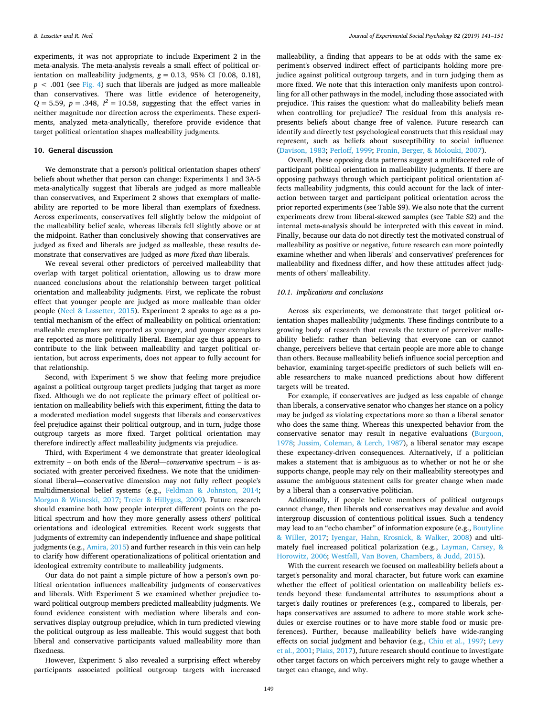experiments, it was not appropriate to include Experiment 2 in the meta-analysis. The meta-analysis reveals a small effect of political orientation on malleability judgments,  $g = 0.13$ , 95% CI [0.08, 0.18],  $p < .001$  (see [Fig. 4\)](#page-7-1) such that liberals are judged as more malleable than conservatives. There was little evidence of heterogeneity,  $Q = 5.59$ ,  $p = .348$ ,  $I^2 = 10.58$ , suggesting that the effect varies in neither magnitude nor direction across the experiments. These experiments, analyzed meta-analytically, therefore provide evidence that target political orientation shapes malleability judgments.

## **10. General discussion**

We demonstrate that a person's political orientation shapes others' beliefs about whether that person can change: Experiments 1 and 3A-5 meta-analytically suggest that liberals are judged as more malleable than conservatives, and Experiment 2 shows that exemplars of malleability are reported to be more liberal than exemplars of fixedness. Across experiments, conservatives fell slightly below the midpoint of the malleability belief scale, whereas liberals fell slightly above or at the midpoint. Rather than conclusively showing that conservatives are judged as fixed and liberals are judged as malleable, these results demonstrate that conservatives are judged as *more fixed than* liberals.

We reveal several other predictors of perceived malleability that overlap with target political orientation, allowing us to draw more nuanced conclusions about the relationship between target political orientation and malleability judgments. First, we replicate the robust effect that younger people are judged as more malleable than older people [\(Neel & Lassetter, 2015](#page-9-4)). Experiment 2 speaks to age as a potential mechanism of the effect of malleability on political orientation: malleable exemplars are reported as younger, and younger exemplars are reported as more politically liberal. Exemplar age thus appears to contribute to the link between malleability and target political orientation, but across experiments, does not appear to fully account for that relationship.

Second, with Experiment 5 we show that feeling more prejudice against a political outgroup target predicts judging that target as more fixed. Although we do not replicate the primary effect of political orientation on malleability beliefs with this experiment, fitting the data to a moderated mediation model suggests that liberals and conservatives feel prejudice against their political outgroup, and in turn, judge those outgroup targets as more fixed. Target political orientation may therefore indirectly affect malleability judgments via prejudice.

Third, with Experiment 4 we demonstrate that greater ideological extremity – on both ends of the *liberal—conservative* spectrum – is associated with greater perceived fixedness. We note that the unidimensional liberal—conservative dimension may not fully reflect people's multidimensional belief systems (e.g., [Feldman & Johnston, 2014](#page-9-39); [Morgan & Wisneski, 2017](#page-9-40); [Treier & Hillygus, 2009\)](#page-10-11). Future research should examine both how people interpret different points on the political spectrum and how they more generally assess others' political orientations and ideological extremities. Recent work suggests that judgments of extremity can independently influence and shape political judgments (e.g., [Amira, 2015\)](#page-9-41) and further research in this vein can help to clarify how different operationalizations of political orientation and ideological extremity contribute to malleability judgments.

Our data do not paint a simple picture of how a person's own political orientation influences malleability judgments of conservatives and liberals. With Experiment 5 we examined whether prejudice toward political outgroup members predicted malleability judgments. We found evidence consistent with mediation where liberals and conservatives display outgroup prejudice, which in turn predicted viewing the political outgroup as less malleable. This would suggest that both liberal and conservative participants valued malleability more than fixedness.

However, Experiment 5 also revealed a surprising effect whereby participants associated political outgroup targets with increased

malleability, a finding that appears to be at odds with the same experiment's observed indirect effect of participants holding more prejudice against political outgroup targets, and in turn judging them as more fixed. We note that this interaction only manifests upon controlling for all other pathways in the model, including those associated with prejudice. This raises the question: what do malleability beliefs mean when controlling for prejudice? The residual from this analysis represents beliefs about change free of valence. Future research can identify and directly test psychological constructs that this residual may represent, such as beliefs about susceptibility to social influence ([Davison, 1983;](#page-9-42) [Perloff, 1999;](#page-10-12) [Pronin, Berger, & Molouki, 2007](#page-10-13)).

Overall, these opposing data patterns suggest a multifaceted role of participant political orientation in malleability judgments. If there are opposing pathways through which participant political orientation affects malleability judgments, this could account for the lack of interaction between target and participant political orientation across the prior reported experiments (see Table S9). We also note that the current experiments drew from liberal-skewed samples (see Table S2) and the internal meta-analysis should be interpreted with this caveat in mind. Finally, because our data do not directly test the motivated construal of malleability as positive or negative, future research can more pointedly examine whether and when liberals' and conservatives' preferences for malleability and fixedness differ, and how these attitudes affect judgments of others' malleability.

#### *10.1. Implications and conclusions*

Across six experiments, we demonstrate that target political orientation shapes malleability judgments. These findings contribute to a growing body of research that reveals the texture of perceiver malleability beliefs: rather than believing that everyone can or cannot change, perceivers believe that certain people are more able to change than others. Because malleability beliefs influence social perception and behavior, examining target-specific predictors of such beliefs will enable researchers to make nuanced predictions about how different targets will be treated.

For example, if conservatives are judged as less capable of change than liberals, a conservative senator who changes her stance on a policy may be judged as violating expectations more so than a liberal senator who does the same thing. Whereas this unexpected behavior from the conservative senator may result in negative evaluations ([Burgoon,](#page-9-43) [1978;](#page-9-43) [Jussim, Coleman, & Lerch, 1987\)](#page-9-44), a liberal senator may escape these expectancy-driven consequences. Alternatively, if a politician makes a statement that is ambiguous as to whether or not he or she supports change, people may rely on their malleability stereotypes and assume the ambiguous statement calls for greater change when made by a liberal than a conservative politician.

Additionally, if people believe members of political outgroups cannot change, then liberals and conservatives may devalue and avoid intergroup discussion of contentious political issues. Such a tendency may lead to an "echo chamber" of information exposure (e.g., [Boutyline](#page-9-45) [& Willer, 2017](#page-9-45); [Iyengar, Hahn, Krosnick, & Walker, 2008\)](#page-9-46) and ultimately fuel increased political polarization (e.g., [Layman, Carsey, &](#page-9-47) [Horowitz, 2006](#page-9-47); [Westfall, Van Boven, Chambers, & Judd, 2015](#page-10-14)).

With the current research we focused on malleability beliefs about a target's personality and moral character, but future work can examine whether the effect of political orientation on malleability beliefs extends beyond these fundamental attributes to assumptions about a target's daily routines or preferences (e.g., compared to liberals, perhaps conservatives are assumed to adhere to more stable work schedules or exercise routines or to have more stable food or music preferences). Further, because malleability beliefs have wide-ranging effects on social judgment and behavior (e.g., [Chiu et al., 1997;](#page-9-2) [Levy](#page-9-3) [et al., 2001;](#page-9-3) [Plaks, 2017\)](#page-10-0), future research should continue to investigate other target factors on which perceivers might rely to gauge whether a target can change, and why.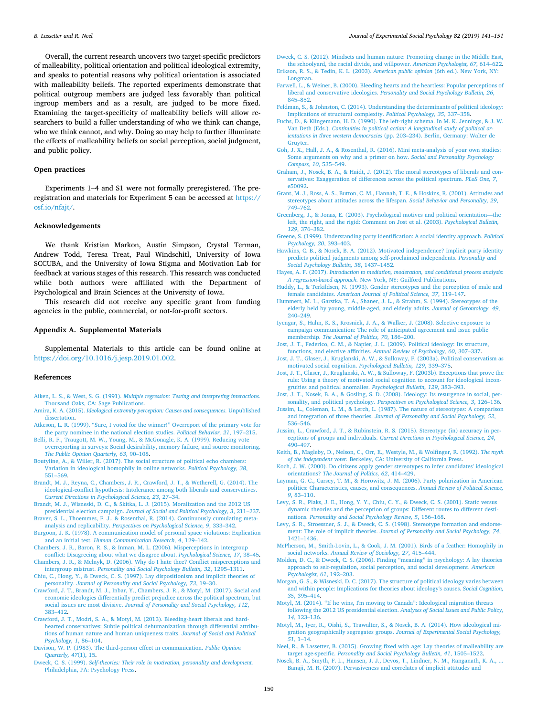Overall, the current research uncovers two target-specific predictors of malleability, political orientation and political ideological extremity, and speaks to potential reasons why political orientation is associated with malleability beliefs. The reported experiments demonstrate that political outgroup members are judged less favorably than political ingroup members and as a result, are judged to be more fixed. Examining the target-specificity of malleability beliefs will allow researchers to build a fuller understanding of who we think can change, who we think cannot, and why. Doing so may help to further illuminate the effects of malleability beliefs on social perception, social judgment, and public policy.

## **Open practices**

Experiments 1–4 and S1 were not formally preregistered. The preregistration and materials for Experiment 5 can be accessed at [https://](https://osf.io/nfajt/) [osf.io/nfajt/.](https://osf.io/nfajt/)

#### **Acknowledgements**

We thank Kristian Markon, Austin Simpson, Crystal Terman, Andrew Todd, Teresa Treat, Paul Windschitl, University of Iowa SCCUBA, and the University of Iowa Stigma and Motivation Lab for feedback at various stages of this research. This research was conducted while both authors were affiliated with the Department of Psychological and Brain Sciences at the University of Iowa.

This research did not receive any specific grant from funding agencies in the public, commercial, or not-for-profit sectors.

## **Appendix A. Supplemental Materials**

Supplemental Materials to this article can be found online at [https://doi.org/10.1016/j.jesp.2019.01.002.](https://doi.org/10.1016/j.jesp.2019.01.002)

#### **References**

- <span id="page-9-29"></span>Aiken, L. S., & West, S. G. (1991). *[Multiple regression: Testing and interpreting interactions.](http://refhub.elsevier.com/S0022-1031(17)30689-3/rf0005)* [Thousand Oaks, CA: Sage Publications](http://refhub.elsevier.com/S0022-1031(17)30689-3/rf0005).
- <span id="page-9-41"></span>Amira, K. A. (2015). *[Ideological extremity perception: Causes and consequences.](http://refhub.elsevier.com/S0022-1031(17)30689-3/rf0010)* Unpublished [dissertation](http://refhub.elsevier.com/S0022-1031(17)30689-3/rf0010).
- <span id="page-9-26"></span>[Atkeson, L. R. \(1999\). "Sure, I voted for the winner!" Overreport of the primary vote for](http://refhub.elsevier.com/S0022-1031(17)30689-3/rf0015) [the party nominee in the national election studies.](http://refhub.elsevier.com/S0022-1031(17)30689-3/rf0015) *Political Behavior, 21*, 197–215.
- <span id="page-9-27"></span>[Belli, R. F., Traugott, M. W., Young, M., & McGonagle, K. A. \(1999\). Reducing vote](http://refhub.elsevier.com/S0022-1031(17)30689-3/rf0020) [overreporting in surveys: Social desirability, memory failure, and source monitoring.](http://refhub.elsevier.com/S0022-1031(17)30689-3/rf0020) *[The Public Opinion Quarterly, 63](http://refhub.elsevier.com/S0022-1031(17)30689-3/rf0020)*, 90–108.
- <span id="page-9-45"></span>[Boutyline, A., & Willer, R. \(2017\). The social structure of political echo chambers:](http://refhub.elsevier.com/S0022-1031(17)30689-3/rf0025) [Variation in ideological homophily in online networks.](http://refhub.elsevier.com/S0022-1031(17)30689-3/rf0025) *Political Psychology, 38*, [551–569](http://refhub.elsevier.com/S0022-1031(17)30689-3/rf0025).
- <span id="page-9-21"></span>[Brandt, M. J., Reyna, C., Chambers, J. R., Crawford, J. T., & Wetherell, G. \(2014\). The](http://refhub.elsevier.com/S0022-1031(17)30689-3/rf0030) [ideological-conflict hypothesis: Intolerance among both liberals and conservatives.](http://refhub.elsevier.com/S0022-1031(17)30689-3/rf0030) *[Current Directions in Psychological Science, 23](http://refhub.elsevier.com/S0022-1031(17)30689-3/rf0030)*, 27–34.
- <span id="page-9-25"></span>[Brandt, M. J., Wisneski, D. C., & Skitka, L. J. \(2015\). Moralization and the 2012 US](http://refhub.elsevier.com/S0022-1031(17)30689-3/rf0035) presidential election campaign. *[Journal of Social and Political Psychology, 3](http://refhub.elsevier.com/S0022-1031(17)30689-3/rf0035)*, 211–237.
- <span id="page-9-37"></span>[Braver, S. L., Thoemmes, F. J., & Rosenthal, R. \(2014\). Continuously cumulating meta](http://refhub.elsevier.com/S0022-1031(17)30689-3/rf0040)analysis and replicability. *[Perspectives on Psychological Science, 9](http://refhub.elsevier.com/S0022-1031(17)30689-3/rf0040)*, 333–342. [Burgoon, J. K. \(1978\). A communication model of personal space violations: Explication](http://refhub.elsevier.com/S0022-1031(17)30689-3/rf0045)
- <span id="page-9-43"></span>and an initial test. *[Human Communication Research, 4](http://refhub.elsevier.com/S0022-1031(17)30689-3/rf0045)*, 129–142.
- <span id="page-9-5"></span>[Chambers, J. R., Baron, R. S., & Inman, M. L. \(2006\). Misperceptions in intergroup](http://refhub.elsevier.com/S0022-1031(17)30689-3/rf0050) [conflict: Disagreeing about what we disagree about.](http://refhub.elsevier.com/S0022-1031(17)30689-3/rf0050) *Psychological Science, 17*, 38–45. [Chambers, J. R., & Melnyk, D. \(2006\). Why do I hate thee? Conflict misperceptions and](http://refhub.elsevier.com/S0022-1031(17)30689-3/rf0055)
- <span id="page-9-6"></span>intergroup mistrust. *[Personality and Social Psychology Bulletin, 32](http://refhub.elsevier.com/S0022-1031(17)30689-3/rf0055)*, 1295–1311. [Chiu, C., Hong, Y., & Dweck, C. S. \(1997\). Lay dispositionism and implicit theories of](http://refhub.elsevier.com/S0022-1031(17)30689-3/rf0060)
- <span id="page-9-2"></span>personality. *[Journal of Personality and Social Psychology, 73](http://refhub.elsevier.com/S0022-1031(17)30689-3/rf0060)*, 19–30. [Crawford, J. T., Brandt, M. J., Inbar, Y., Chambers, J. R., & Motyl, M. \(2017\). Social and](http://refhub.elsevier.com/S0022-1031(17)30689-3/rf0065)
- <span id="page-9-36"></span>[economic ideologies differentially predict prejudice across the political spectrum, but](http://refhub.elsevier.com/S0022-1031(17)30689-3/rf0065) social issues are most divisive. *[Journal of Personality and Social Psychology, 112](http://refhub.elsevier.com/S0022-1031(17)30689-3/rf0065)*, [383–412](http://refhub.elsevier.com/S0022-1031(17)30689-3/rf0065).
- <span id="page-9-8"></span>[Crawford, J. T., Modri, S. A., & Motyl, M. \(2013\). Bleeding-heart liberals and hard](http://refhub.elsevier.com/S0022-1031(17)30689-3/rf0070)[hearted conservatives: Subtle political dehumanization through differential attribu](http://refhub.elsevier.com/S0022-1031(17)30689-3/rf0070)[tions of human nature and human uniqueness traits.](http://refhub.elsevier.com/S0022-1031(17)30689-3/rf0070) *Journal of Social and Political [Psychology, 1](http://refhub.elsevier.com/S0022-1031(17)30689-3/rf0070)*, 86–104.
- <span id="page-9-42"></span>[Davison, W. P. \(1983\). The third-person effect in communication.](http://refhub.elsevier.com/S0022-1031(17)30689-3/rf0075) *Public Opinion [Quarterly, 47](http://refhub.elsevier.com/S0022-1031(17)30689-3/rf0075)*(1), 15.
- <span id="page-9-24"></span>Dweck, C. S. (1999). *[Self-theories: Their role in motivation, personality and development.](http://refhub.elsevier.com/S0022-1031(17)30689-3/rf0080)* [Philadelphia, PA: Psychology Press](http://refhub.elsevier.com/S0022-1031(17)30689-3/rf0080).
- <span id="page-9-20"></span>[Dweck, C. S. \(2012\). Mindsets and human nature: Promoting change in the Middle East,](http://refhub.elsevier.com/S0022-1031(17)30689-3/rf0085) [the schoolyard, the racial divide, and willpower.](http://refhub.elsevier.com/S0022-1031(17)30689-3/rf0085) *American Psychologist, 67*, 614–622.
- <span id="page-9-15"></span>[Erikson, R. S., & Tedin, K. L. \(2003\).](http://refhub.elsevier.com/S0022-1031(17)30689-3/rf0090) *American public opinion* (6th ed.). New York, NY: [Longman.](http://refhub.elsevier.com/S0022-1031(17)30689-3/rf0090) [Farwell, L., & Weiner, B. \(2000\). Bleeding hearts and the heartless: Popular perceptions of](http://refhub.elsevier.com/S0022-1031(17)30689-3/rf0095)
- <span id="page-9-23"></span>liberal and conservative ideologies. *[Personality and Social Psychology Bulletin, 26](http://refhub.elsevier.com/S0022-1031(17)30689-3/rf0095)*, [845–852](http://refhub.elsevier.com/S0022-1031(17)30689-3/rf0095).
- <span id="page-9-39"></span>[Feldman, S., & Johnston, C. \(2014\). Understanding the determinants of political ideology:](http://refhub.elsevier.com/S0022-1031(17)30689-3/rf0100) [Implications of structural complexity.](http://refhub.elsevier.com/S0022-1031(17)30689-3/rf0100) *Political Psychology, 35*, 337–358.
- <span id="page-9-16"></span>[Fuchs, D., & Klingemann, H. D. \(1990\). The left-right schema. In M. K. Jennings, & J. W.](http://refhub.elsevier.com/S0022-1031(17)30689-3/rf0105) Van Deth (Eds.). *[Continuities in political action: A longitudinal study of political or](http://refhub.elsevier.com/S0022-1031(17)30689-3/rf0105)ientations in three western democracies* [\(pp. 203–234\). Berlin, Germany: Walter de](http://refhub.elsevier.com/S0022-1031(17)30689-3/rf0105) [Gruyter](http://refhub.elsevier.com/S0022-1031(17)30689-3/rf0105).
- <span id="page-9-38"></span>[Goh, J. X., Hall, J. A., & Rosenthal, R. \(2016\). Mini meta-analysis of your own studies:](http://refhub.elsevier.com/S0022-1031(17)30689-3/rf0110) [Some arguments on why and a primer on how.](http://refhub.elsevier.com/S0022-1031(17)30689-3/rf0110) *Social and Personality Psychology [Compass, 10](http://refhub.elsevier.com/S0022-1031(17)30689-3/rf0110)*, 535–549.
- <span id="page-9-7"></span>[Graham, J., Nosek, B. A., & Haidt, J. \(2012\). The moral stereotypes of liberals and con](http://refhub.elsevier.com/S0022-1031(17)30689-3/rf0115)[servatives: Exaggeration of differences across the political spectrum.](http://refhub.elsevier.com/S0022-1031(17)30689-3/rf0115) *PLoS One, 7*, [e50092.](http://refhub.elsevier.com/S0022-1031(17)30689-3/rf0115)
- <span id="page-9-9"></span>[Grant, M. J., Ross, A. S., Button, C. M., Hannah, T. E., & Hoskins, R. \(2001\). Attitudes and](http://refhub.elsevier.com/S0022-1031(17)30689-3/rf0120) [stereotypes about attitudes across the lifespan.](http://refhub.elsevier.com/S0022-1031(17)30689-3/rf0120) *Social Behavior and Personality, 29*, [749–762](http://refhub.elsevier.com/S0022-1031(17)30689-3/rf0120).
- <span id="page-9-13"></span>[Greenberg, J., & Jonas, E. \(2003\). Psychological motives and political orientation—the](http://refhub.elsevier.com/S0022-1031(17)30689-3/rf0125) [left, the right, and the rigid: Comment on Jost et al. \(2003\).](http://refhub.elsevier.com/S0022-1031(17)30689-3/rf0125) *Psychological Bulletin, 129*[, 376–382.](http://refhub.elsevier.com/S0022-1031(17)30689-3/rf0125)
- <span id="page-9-33"></span>[Greene, S. \(1999\). Understanding party identification: A social identity approach.](http://refhub.elsevier.com/S0022-1031(17)30689-3/rf0130) *Political [Psychology, 20](http://refhub.elsevier.com/S0022-1031(17)30689-3/rf0130)*, 393–403.
- <span id="page-9-34"></span>[Hawkins, C. B., & Nosek, B. A. \(2012\). Motivated independence? Implicit party identity](http://refhub.elsevier.com/S0022-1031(17)30689-3/rf0135) [predicts political judgments among self-proclaimed independents.](http://refhub.elsevier.com/S0022-1031(17)30689-3/rf0135) *Personality and [Social Psychology Bulletin, 38](http://refhub.elsevier.com/S0022-1031(17)30689-3/rf0135)*, 1437–1452.
- <span id="page-9-28"></span>Hayes, A. F. (2017). *[Introduction to mediation, moderation, and conditional process analysis:](http://refhub.elsevier.com/S0022-1031(17)30689-3/rf0140) A regression-based approach.* [New York, NY: Guilford Publications.](http://refhub.elsevier.com/S0022-1031(17)30689-3/rf0140)
- <span id="page-9-11"></span>[Huddy, L., & Terkildsen, N. \(1993\). Gender stereotypes and the perception of male and](http://refhub.elsevier.com/S0022-1031(17)30689-3/rf0145) female candidates. *[American Journal of Political Science, 37](http://refhub.elsevier.com/S0022-1031(17)30689-3/rf0145)*, 119–147.
- <span id="page-9-10"></span>[Hummert, M. L., Garstka, T. A., Shaner, J. L., & Strahm, S. \(1994\). Stereotypes of the](http://refhub.elsevier.com/S0022-1031(17)30689-3/rf0150) [elderly held by young, middle-aged, and elderly adults.](http://refhub.elsevier.com/S0022-1031(17)30689-3/rf0150) *Journal of Gerontology, 49*, [240–249](http://refhub.elsevier.com/S0022-1031(17)30689-3/rf0150).
- <span id="page-9-46"></span>[Iyengar, S., Hahn, K. S., Krosnick, J. A., & Walker, J. \(2008\). Selective exposure to](http://refhub.elsevier.com/S0022-1031(17)30689-3/rf0155) [campaign communication: The role of anticipated agreement and issue public](http://refhub.elsevier.com/S0022-1031(17)30689-3/rf0155) membership. *[The Journal of Politics, 70](http://refhub.elsevier.com/S0022-1031(17)30689-3/rf0155)*, 186–200.
- <span id="page-9-17"></span>[Jost, J. T., Federico, C. M., & Napier, J. L. \(2009\). Political ideology: Its structure,](http://refhub.elsevier.com/S0022-1031(17)30689-3/rf0160) [functions, and elective affinities.](http://refhub.elsevier.com/S0022-1031(17)30689-3/rf0160) *Annual Review of Psychology, 60*, 307–337.
- <span id="page-9-14"></span>[Jost, J. T., Glaser, J., Kruglanski, A. W., & Sulloway, F. \(2003a\). Political conservatism as](http://refhub.elsevier.com/S0022-1031(17)30689-3/rf0165) [motivated social cognition.](http://refhub.elsevier.com/S0022-1031(17)30689-3/rf0165) *Psychological Bulletin, 129*, 339–375.
- [Jost, J. T., Glaser, J., Kruglanski, A. W., & Sulloway, F. \(2003b\). Exceptions that prove the](http://refhub.elsevier.com/S0022-1031(17)30689-3/rf0170) [rule: Using a theory of motivated social cognition to account for ideological incon](http://refhub.elsevier.com/S0022-1031(17)30689-3/rf0170)[gruities and political anomalies.](http://refhub.elsevier.com/S0022-1031(17)30689-3/rf0170) *Psychological Bulletin, 129*, 383–393.
- <span id="page-9-19"></span>[Jost, J. T., Nosek, B. A., & Gosling, S. D. \(2008\). Ideology: Its resurgence in social, per](http://refhub.elsevier.com/S0022-1031(17)30689-3/rf0175)sonality, and political psychology. *[Perspectives on Psychological Science, 3](http://refhub.elsevier.com/S0022-1031(17)30689-3/rf0175)*, 126–136.
- <span id="page-9-44"></span>[Jussim, L., Coleman, L. M., & Lerch, L. \(1987\). The nature of stereotypes: A comparison](http://refhub.elsevier.com/S0022-1031(17)30689-3/rf0180) and integration of three theories. *[Journal of Personality and Social Psychology, 52](http://refhub.elsevier.com/S0022-1031(17)30689-3/rf0180)*,
- <span id="page-9-18"></span>[536–546](http://refhub.elsevier.com/S0022-1031(17)30689-3/rf0180). [Jussim, L., Crawford, J. T., & Rubinstein, R. S. \(2015\). Stereotype \(in\) accuracy in per](http://refhub.elsevier.com/S0022-1031(17)30689-3/rf0185)ceptions of groups and individuals. *[Current Directions in Psychological Science, 24](http://refhub.elsevier.com/S0022-1031(17)30689-3/rf0185)*,
- <span id="page-9-35"></span>[490–497](http://refhub.elsevier.com/S0022-1031(17)30689-3/rf0185). [Keith, B., Magleby, D., Nelson, C., Orr, E., Westyle, M., & Wolfinger, R. \(1992\).](http://refhub.elsevier.com/S0022-1031(17)30689-3/rf0190) *The myth of the independent voter.* [Berkeley, CA: University of California Press](http://refhub.elsevier.com/S0022-1031(17)30689-3/rf0190).
- <span id="page-9-12"></span>[Koch, J. W. \(2000\). Do citizens apply gender stereotypes to infer candidates' ideological](http://refhub.elsevier.com/S0022-1031(17)30689-3/rf0195) orientations? *[The Journal of Politics, 62](http://refhub.elsevier.com/S0022-1031(17)30689-3/rf0195)*, 414–429.
- <span id="page-9-47"></span>[Layman, G. C., Carsey, T. M., & Horowitz, J. M. \(2006\). Party polarization in American](http://refhub.elsevier.com/S0022-1031(17)30689-3/rf0200) [politics: Characteristics, causes, and consequences.](http://refhub.elsevier.com/S0022-1031(17)30689-3/rf0200) *Annual Review of Political Science, 9*[, 83–110](http://refhub.elsevier.com/S0022-1031(17)30689-3/rf0200).
- <span id="page-9-3"></span>[Levy, S. R., Plaks, J. E., Hong, Y. Y., Chiu, C. Y., & Dweck, C. S. \(2001\). Static versus](http://refhub.elsevier.com/S0022-1031(17)30689-3/rf0205) [dynamic theories and the perception of groups: Different routes to different desti](http://refhub.elsevier.com/S0022-1031(17)30689-3/rf0205)nations. *[Personality and Social Psychology Review, 5](http://refhub.elsevier.com/S0022-1031(17)30689-3/rf0205)*, 156–168.
- <span id="page-9-1"></span>[Levy, S. R., Stroessner, S. J., & Dweck, C. S. \(1998\). Stereotype formation and endorse](http://refhub.elsevier.com/S0022-1031(17)30689-3/rf0210)ment: The role of implicit theories. *[Journal of Personality and Social Psychology, 74](http://refhub.elsevier.com/S0022-1031(17)30689-3/rf0210)*, [1421–1436](http://refhub.elsevier.com/S0022-1031(17)30689-3/rf0210).
- <span id="page-9-30"></span>[McPherson, M., Smith-Lovin, L., & Cook, J. M. \(2001\). Birds of a feather: Homophily in](http://refhub.elsevier.com/S0022-1031(17)30689-3/rf0215) social networks. *[Annual Review of Sociology, 27](http://refhub.elsevier.com/S0022-1031(17)30689-3/rf0215)*, 415–444.
- <span id="page-9-0"></span>[Molden, D. C., & Dweck, C. S. \(2006\). Finding "meaning" in psychology: A lay theories](http://refhub.elsevier.com/S0022-1031(17)30689-3/rf0220) [approach to self-regulation, social perception, and social development.](http://refhub.elsevier.com/S0022-1031(17)30689-3/rf0220) *American [Psychologist, 61](http://refhub.elsevier.com/S0022-1031(17)30689-3/rf0220)*, 192–203.
- <span id="page-9-40"></span>[Morgan, G. S., & Wisneski, D. C. \(2017\). The structure of political ideology varies between](http://refhub.elsevier.com/S0022-1031(17)30689-3/rf0225) [and within people: Implications for theories about ideology's causes.](http://refhub.elsevier.com/S0022-1031(17)30689-3/rf0225) *Social Cognition, 35*[, 395–414](http://refhub.elsevier.com/S0022-1031(17)30689-3/rf0225).
- <span id="page-9-31"></span>[Motyl, M. \(2014\). "If he wins, I'm moving to Canada": Ideological migration threats](http://refhub.elsevier.com/S0022-1031(17)30689-3/rf0230) [following the 2012 US presidential election.](http://refhub.elsevier.com/S0022-1031(17)30689-3/rf0230) *Analyses of Social Issues and Public Policy, 14*[, 123–136](http://refhub.elsevier.com/S0022-1031(17)30689-3/rf0230).
- <span id="page-9-32"></span>[Motyl, M., Iyer, R., Oishi, S., Trawalter, S., & Nosek, B. A. \(2014\). How ideological mi](http://refhub.elsevier.com/S0022-1031(17)30689-3/rf0235)[gration geographically segregates groups.](http://refhub.elsevier.com/S0022-1031(17)30689-3/rf0235) *Journal of Experimental Social Psychology, 51*[, 1–14.](http://refhub.elsevier.com/S0022-1031(17)30689-3/rf0235)
- <span id="page-9-4"></span>[Neel, R., & Lassetter, B. \(2015\). Growing fixed with age: Lay theories of malleability are](http://refhub.elsevier.com/S0022-1031(17)30689-3/rf0240) target age-specific. *[Personality and Social Psychology Bulletin, 41](http://refhub.elsevier.com/S0022-1031(17)30689-3/rf0240)*, 1505–1522.
- <span id="page-9-22"></span>[Nosek, B. A., Smyth, F. L., Hansen, J. J., Devos, T., Lindner, N. M., Ranganath, K. A., ...](http://refhub.elsevier.com/S0022-1031(17)30689-3/rf0245) [Banaji, M. R. \(2007\). Pervasiveness and correlates of implicit attitudes and](http://refhub.elsevier.com/S0022-1031(17)30689-3/rf0245)